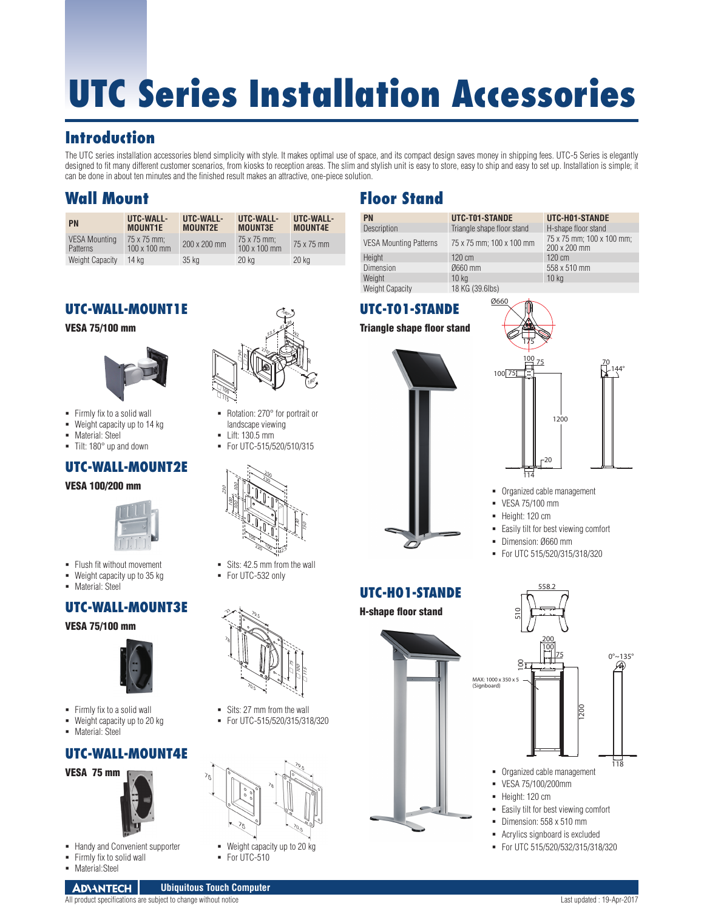# **UTC Series Installation Accessories**

# **Introduction**

The UTC series installation accessories blend simplicity with style. It makes optimal use of space, and its compact design saves money in shipping fees. UTC-5 Series is elegantly designed to fit many different customer scenarios, from kiosks to reception areas. The slim and stylish unit is easy to store, easy to ship and easy to set up. Installation is simple; it can be done in about ten minutes and the finished result makes an attractive, one-piece solution.

# **Wall Mount**

| <b>PN</b>                        | UTC-WALL-<br><b>MOUNT1E</b>        | UTC-WALL-<br><b>MOUNT2E</b> | UTC-WALL-<br><b>MOUNT3E</b>        | UTC-WALL-<br><b>MOUNT4E</b> |
|----------------------------------|------------------------------------|-----------------------------|------------------------------------|-----------------------------|
| <b>VESA Mounting</b><br>Patterns | 75 x 75 mm:<br>$100 \times 100$ mm | 200 x 200 mm                | 75 x 75 mm:<br>$100 \times 100$ mm | 75 x 75 mm                  |
| <b>Weight Capacity</b>           | 14 ka                              | 35 kg                       | 20 kg                              | 20 kg                       |

## **UTC-WALL-MOUNT1E**

#### VESA 75/100 mm



- **Firmly fix to a solid wall**
- Weight capacity up to 14 kg
- **Material: Steel**

#### $\blacksquare$  Tilt: 180 $\degree$  up and down

#### **UTC-WALL-MOUNT2E**

VESA 100/200 mm



- Flush fit without movement
- Weight capacity up to 35 kg
- **Material: Steel**

## **UTC-WALL-MOUNT3E**

#### VESA 75/100 mm



- **Firmly fix to a solid wall**
- **Weight capacity up to 20 kg**
- **Material: Steel**

#### **UTC-WALL-MOUNT4E**

VESA 75 mm



- **Handy and Convenient supporter**
- Firmly fix to solid wall
- Material:Steel



- Rotation: 270° for portrait or landscape viewing
- Lift: 130.5 mm
- For UTC-515/520/510/315



- Sits: 42.5 mm from the wall
- For UTC-532 only



- Sits: 27 mm from the wall For UTC-515/520/315/318/320
- - Weight capacity up to 20 kg
	- For UTC-510



All product specifications are subject to change without notice Last updated : 19-Apr-2017

# **Floor Stand**

| <b>PN</b>                     | UTC-T01-STANDE             | UTC-H01-STANDE                            |
|-------------------------------|----------------------------|-------------------------------------------|
| Description                   | Triangle shape floor stand | H-shape floor stand                       |
| <b>VESA Mounting Patterns</b> | 75 x 75 mm; 100 x 100 mm   | 75 x 75 mm; 100 x 100 mm;<br>200 x 200 mm |
| Height                        | $120 \text{ cm}$           | 120 cm                                    |
| <b>Dimension</b>              | Ø660 mm                    | 558 x 510 mm                              |
| Weight                        | 10 <sub>kg</sub>           | 10 <sub>kg</sub>                          |
| <b>Weight Capacity</b>        | 18 KG (39.6lbs)            |                                           |

## **UTC-T01-STANDE**

Triangle shape floor stand





- Organized cable management
- VESA 75/100 mm
- Height: 120 cm
- Easily tilt for best viewing comfort
- Dimension: Ø660 mm
- For UTC 515/520/315/318/320

558.2

## **UTC-H01-STANDE**







For UTC 515/520/532/315/318/320